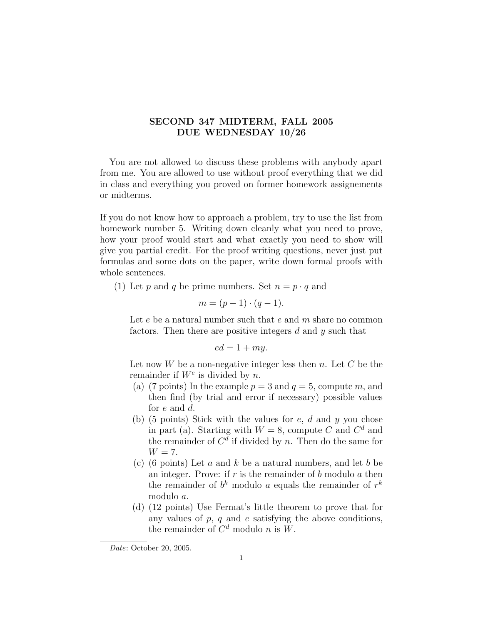## SECOND 347 MIDTERM, FALL 2005 DUE WEDNESDAY 10/26

You are not allowed to discuss these problems with anybody apart from me. You are allowed to use without proof everything that we did in class and everything you proved on former homework assignements or midterms.

If you do not know how to approach a problem, try to use the list from homework number 5. Writing down cleanly what you need to prove, how your proof would start and what exactly you need to show will give you partial credit. For the proof writing questions, never just put formulas and some dots on the paper, write down formal proofs with whole sentences.

(1) Let p and q be prime numbers. Set  $n = p \cdot q$  and

$$
m = (p-1) \cdot (q-1).
$$

Let  $e$  be a natural number such that  $e$  and  $m$  share no common factors. Then there are positive integers  $d$  and  $y$  such that

$$
ed = 1 + my.
$$

Let now  $W$  be a non-negative integer less then  $n$ . Let  $C$  be the remainder if  $W^e$  is divided by n.

- (a) (7 points) In the example  $p = 3$  and  $q = 5$ , compute m, and then find (by trial and error if necessary) possible values for e and d.
- (b) (5 points) Stick with the values for  $e$ ,  $d$  and  $y$  you chose in part (a). Starting with  $W = 8$ , compute C and  $C<sup>d</sup>$  and the remainder of  $C<sup>d</sup>$  if divided by n. Then do the same for  $W = 7$ .
- (c) (6 points) Let  $a$  and  $k$  be a natural numbers, and let  $b$  be an integer. Prove: if  $r$  is the remainder of  $b$  modulo  $a$  then the remainder of  $b^k$  modulo a equals the remainder of  $r^k$ modulo a.
- (d) (12 points) Use Fermat's little theorem to prove that for any values of  $p$ ,  $q$  and  $e$  satisfying the above conditions, the remainder of  $C^d$  modulo n is W.

Date: October 20, 2005.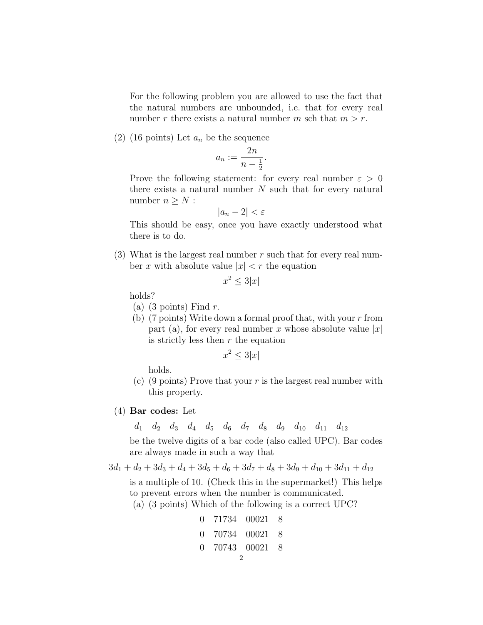For the following problem you are allowed to use the fact that the natural numbers are unbounded, i.e. that for every real number r there exists a natural number m sch that  $m > r$ .

(2) (16 points) Let  $a_n$  be the sequence

$$
a_n := \frac{2n}{n - \frac{1}{2}}.
$$

Prove the following statement: for every real number  $\varepsilon > 0$ there exists a natural number  $N$  such that for every natural number  $n \geq N$ :

$$
|a_n - 2| < \varepsilon
$$

This should be easy, once you have exactly understood what there is to do.

(3) What is the largest real number  $r$  such that for every real number x with absolute value  $|x| < r$  the equation

$$
x^2 \le 3|x|
$$

holds?

- (a)  $(3 \text{ points})$  Find r.
- (b) (7 points) Write down a formal proof that, with your  $r$  from part (a), for every real number x whose absolute value  $|x|$ is strictly less then  $r$  the equation

$$
x^2 \le 3|x|
$$

holds.

- (c) (9 points) Prove that your r is the largest real number with this property.
- (4) Bar codes: Let

 $d_1$   $d_2$   $d_3$   $d_4$   $d_5$   $d_6$   $d_7$   $d_8$   $d_9$   $d_{10}$   $d_{11}$   $d_{12}$ 

be the twelve digits of a bar code (also called UPC). Bar codes are always made in such a way that

$$
3d_1 + d_2 + 3d_3 + d_4 + 3d_5 + d_6 + 3d_7 + d_8 + 3d_9 + d_{10} + 3d_{11} + d_{12}
$$

is a multiple of 10. (Check this in the supermarket!) This helps to prevent errors when the number is communicated.

(a) (3 points) Which of the following is a correct UPC?

0 71734 00021 8 0 70734 00021 8 0 70743 00021 8 2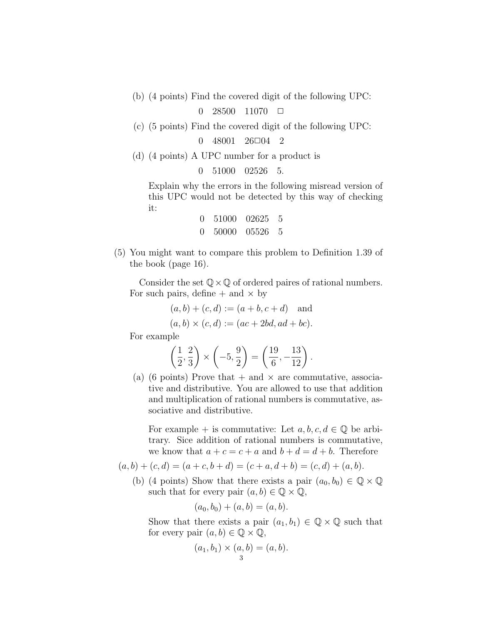(b) (4 points) Find the covered digit of the following UPC:

 $0\quad 28500\quad 11070\quad \Box$ 

(c) (5 points) Find the covered digit of the following UPC:

 $0 \quad 48001 \quad 26 \square 04 \quad 2$ 

(d) (4 points) A UPC number for a product is

```
0 51000 02526 5.
```
Explain why the errors in the following misread version of this UPC would not be detected by this way of checking it:

| 0 51000 02625 5 |  |
|-----------------|--|
| 0 50000 05526 5 |  |

(5) You might want to compare this problem to Definition 1.39 of the book (page 16).

Consider the set  $\mathbb{Q} \times \mathbb{Q}$  of ordered paires of rational numbers. For such pairs, define  $+$  and  $\times$  by

 $(a, b) + (c, d) := (a + b, c + d)$  and

 $(a, b) \times (c, d) := (ac + 2bd, ad + bc).$ 

For example

$$
\left(\frac{1}{2}, \frac{2}{3}\right) \times \left(-5, \frac{9}{2}\right) = \left(\frac{19}{6}, -\frac{13}{12}\right).
$$

(a) (6 points) Prove that  $+$  and  $\times$  are commutative, associative and distributive. You are allowed to use that addition and multiplication of rational numbers is commutative, associative and distributive.

For example + is commutative: Let  $a, b, c, d \in \mathbb{Q}$  be arbitrary. Sice addition of rational numbers is commutative, we know that  $a + c = c + a$  and  $b + d = d + b$ . Therefore

 $(a, b) + (c, d) = (a + c, b + d) = (c + a, d + b) = (c, d) + (a, b).$ 

(b) (4 points) Show that there exists a pair  $(a_0, b_0) \in \mathbb{Q} \times \mathbb{Q}$ such that for every pair  $(a, b) \in \mathbb{Q} \times \mathbb{Q}$ ,

$$
(a_0, b_0) + (a, b) = (a, b).
$$

Show that there exists a pair  $(a_1, b_1) \in \mathbb{Q} \times \mathbb{Q}$  such that for every pair  $(a, b) \in \mathbb{Q} \times \mathbb{Q}$ ,

$$
(a_1, b_1) \times (a, b) = (a, b).
$$